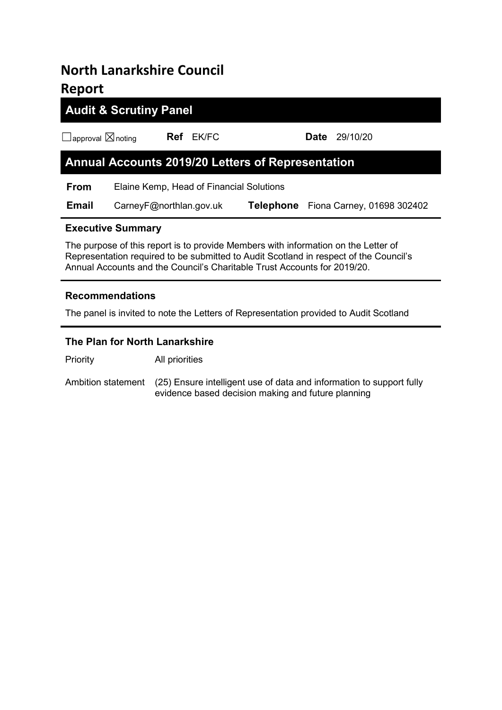# North Lanarkshire Council Report

# Audit & Scrutiny Panel

 $\Box$ approval  $\boxtimes$  noting **Ref** EK/FC **Date** 29/10/20

# Annual Accounts 2019/20 Letters of Representation

From Elaine Kemp, Head of Financial Solutions

Email CarneyF@northlan.gov.uk Telephone Fiona Carney, 01698 302402

# Executive Summary

The purpose of this report is to provide Members with information on the Letter of Representation required to be submitted to Audit Scotland in respect of the Council's Annual Accounts and the Council's Charitable Trust Accounts for 2019/20.

# Recommendations

The panel is invited to note the Letters of Representation provided to Audit Scotland

# The Plan for North Lanarkshire

Priority All priorities

Ambition statement (25) Ensure intelligent use of data and information to support fully evidence based decision making and future planning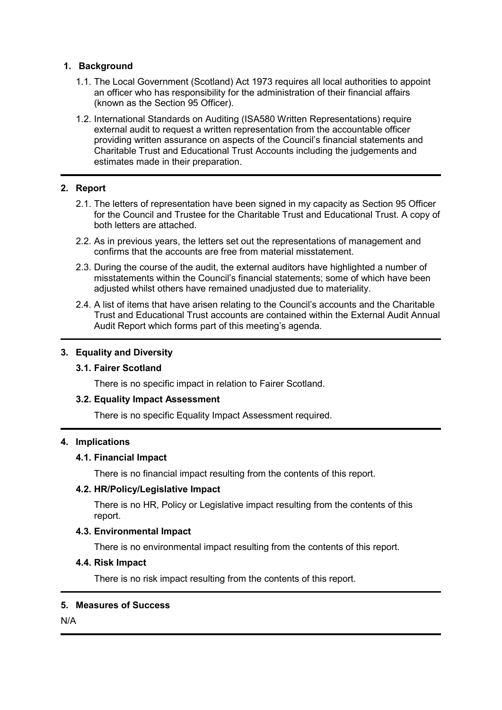## 1. Background

- 1.1. The Local Government (Scotland) Act 1973 requires all local authorities to appoint an officer who has responsibility for the administration of their financial affairs (known as the Section 95 Officer).
- 1.2. International Standards on Auditing (ISA580 Written Representations) require external audit to request a written representation from the accountable officer providing written assurance on aspects of the Council's financial statements and Charitable Trust and Educational Trust Accounts including the judgements and estimates made in their preparation.

## 2. Report

- 2.1. The letters of representation have been signed in my capacity as Section 95 Officer for the Council and Trustee for the Charitable Trust and Educational Trust. A copy of both letters are attached.
- 2.2. As in previous years, the letters set out the representations of management and confirms that the accounts are free from material misstatement.
- 2.3. During the course of the audit, the external auditors have highlighted a number of misstatements within the Council's financial statements; some of which have been adjusted whilst others have remained unadjusted due to materiality.
- 2.4. A list of items that have arisen relating to the Council's accounts and the Charitable Trust and Educational Trust accounts are contained within the External Audit Annual Audit Report which forms part of this meeting's agenda.

## 3. Equality and Diversity

### 3.1. Fairer Scotland

There is no specific impact in relation to Fairer Scotland.

### 3.2. Equality Impact Assessment

There is no specific Equality Impact Assessment required.

### 4. Implications

### 4.1. Financial Impact

There is no financial impact resulting from the contents of this report.

### 4.2. HR/Policy/Legislative Impact

There is no HR, Policy or Legislative impact resulting from the contents of this report.

### 4.3. Environmental Impact

There is no environmental impact resulting from the contents of this report.

# 4.4. Risk Impact

There is no risk impact resulting from the contents of this report.

# 5. Measures of Success

N/A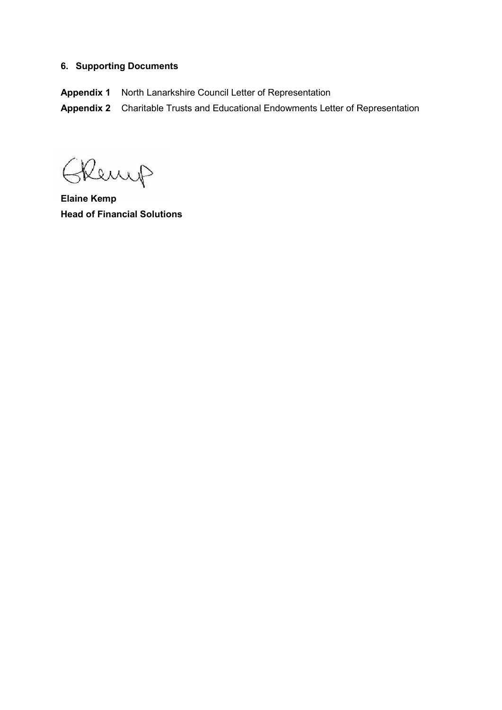# 6. Supporting Documents

Appendix 1 North Lanarkshire Council Letter of Representation

Appendix 2 Charitable Trusts and Educational Endowments Letter of Representation

Chemp

Elaine Kemp Head of Financial Solutions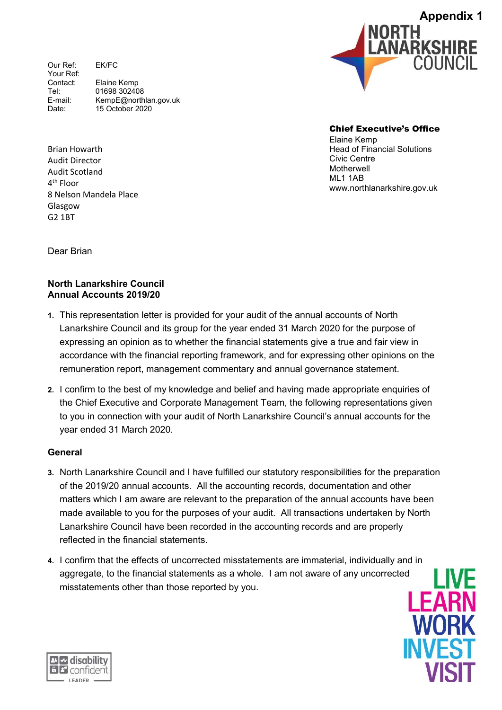Our Ref: EK/FC Your Ref: Contact: Elaine Kemp Tel: 01698 302408<br>
F-mail: KempF@north KempE@northlan.gov.uk Date: 15 October 2020



Chief Executive's Office

Elaine Kemp Head of Financial Solutions Civic Centre **Motherwell** ML1 1AB www.northlanarkshire.gov.uk

Brian Howarth Audit Director Audit Scotland 4 th Floor 8 Nelson Mandela Place Glasgow G2 1BT

Dear Brian

## North Lanarkshire Council Annual Accounts 2019/20

- 1. This representation letter is provided for your audit of the annual accounts of North Lanarkshire Council and its group for the year ended 31 March 2020 for the purpose of expressing an opinion as to whether the financial statements give a true and fair view in accordance with the financial reporting framework, and for expressing other opinions on the remuneration report, management commentary and annual governance statement.
- 2. I confirm to the best of my knowledge and belief and having made appropriate enquiries of the Chief Executive and Corporate Management Team, the following representations given to you in connection with your audit of North Lanarkshire Council's annual accounts for the year ended 31 March 2020.

# General

- 3. North Lanarkshire Council and I have fulfilled our statutory responsibilities for the preparation of the 2019/20 annual accounts. All the accounting records, documentation and other matters which I am aware are relevant to the preparation of the annual accounts have been made available to you for the purposes of your audit. All transactions undertaken by North Lanarkshire Council have been recorded in the accounting records and are properly reflected in the financial statements.
- 4. I confirm that the effects of uncorrected misstatements are immaterial, individually and in aggregate, to the financial statements as a whole. I am not aware of any uncorrected misstatements other than those reported by you.



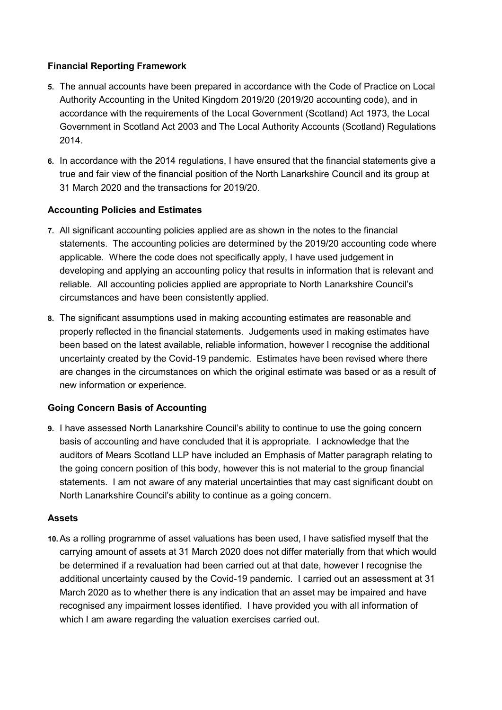# Financial Reporting Framework

- 5. The annual accounts have been prepared in accordance with the Code of Practice on Local Authority Accounting in the United Kingdom 2019/20 (2019/20 accounting code), and in accordance with the requirements of the Local Government (Scotland) Act 1973, the Local Government in Scotland Act 2003 and The Local Authority Accounts (Scotland) Regulations 2014.
- 6. In accordance with the 2014 regulations, I have ensured that the financial statements give a true and fair view of the financial position of the North Lanarkshire Council and its group at 31 March 2020 and the transactions for 2019/20.

# Accounting Policies and Estimates

- 7. All significant accounting policies applied are as shown in the notes to the financial statements. The accounting policies are determined by the 2019/20 accounting code where applicable. Where the code does not specifically apply, I have used judgement in developing and applying an accounting policy that results in information that is relevant and reliable. All accounting policies applied are appropriate to North Lanarkshire Council's circumstances and have been consistently applied.
- 8. The significant assumptions used in making accounting estimates are reasonable and properly reflected in the financial statements. Judgements used in making estimates have been based on the latest available, reliable information, however I recognise the additional uncertainty created by the Covid-19 pandemic. Estimates have been revised where there are changes in the circumstances on which the original estimate was based or as a result of new information or experience.

# Going Concern Basis of Accounting

9. I have assessed North Lanarkshire Council's ability to continue to use the going concern basis of accounting and have concluded that it is appropriate. I acknowledge that the auditors of Mears Scotland LLP have included an Emphasis of Matter paragraph relating to the going concern position of this body, however this is not material to the group financial statements. I am not aware of any material uncertainties that may cast significant doubt on North Lanarkshire Council's ability to continue as a going concern.

# Assets

10. As a rolling programme of asset valuations has been used, I have satisfied myself that the carrying amount of assets at 31 March 2020 does not differ materially from that which would be determined if a revaluation had been carried out at that date, however I recognise the additional uncertainty caused by the Covid-19 pandemic. I carried out an assessment at 31 March 2020 as to whether there is any indication that an asset may be impaired and have recognised any impairment losses identified. I have provided you with all information of which I am aware regarding the valuation exercises carried out.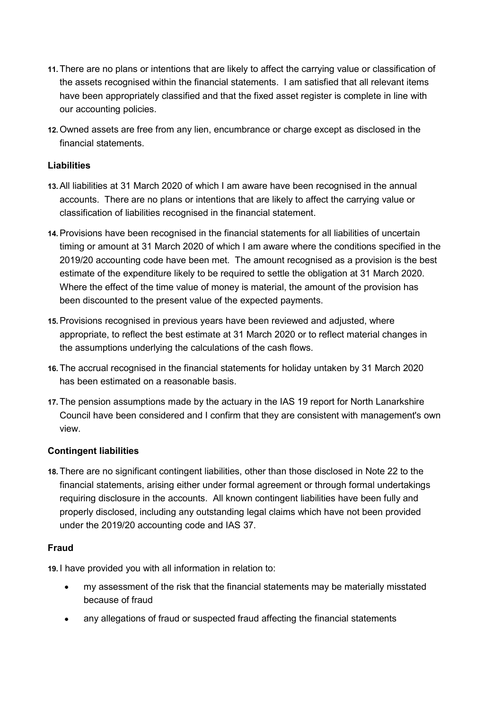- 11.There are no plans or intentions that are likely to affect the carrying value or classification of the assets recognised within the financial statements. I am satisfied that all relevant items have been appropriately classified and that the fixed asset register is complete in line with our accounting policies.
- 12.Owned assets are free from any lien, encumbrance or charge except as disclosed in the financial statements.

# Liabilities

- 13. All liabilities at 31 March 2020 of which I am aware have been recognised in the annual accounts. There are no plans or intentions that are likely to affect the carrying value or classification of liabilities recognised in the financial statement.
- 14.Provisions have been recognised in the financial statements for all liabilities of uncertain timing or amount at 31 March 2020 of which I am aware where the conditions specified in the 2019/20 accounting code have been met. The amount recognised as a provision is the best estimate of the expenditure likely to be required to settle the obligation at 31 March 2020. Where the effect of the time value of money is material, the amount of the provision has been discounted to the present value of the expected payments.
- 15. Provisions recognised in previous years have been reviewed and adjusted, where appropriate, to reflect the best estimate at 31 March 2020 or to reflect material changes in the assumptions underlying the calculations of the cash flows.
- 16. The accrual recognised in the financial statements for holiday untaken by 31 March 2020 has been estimated on a reasonable basis.
- 17. The pension assumptions made by the actuary in the IAS 19 report for North Lanarkshire Council have been considered and I confirm that they are consistent with management's own view.

# Contingent liabilities

18.There are no significant contingent liabilities, other than those disclosed in Note 22 to the financial statements, arising either under formal agreement or through formal undertakings requiring disclosure in the accounts. All known contingent liabilities have been fully and properly disclosed, including any outstanding legal claims which have not been provided under the 2019/20 accounting code and IAS 37.

# Fraud

19. I have provided you with all information in relation to:

- my assessment of the risk that the financial statements may be materially misstated because of fraud
- any allegations of fraud or suspected fraud affecting the financial statements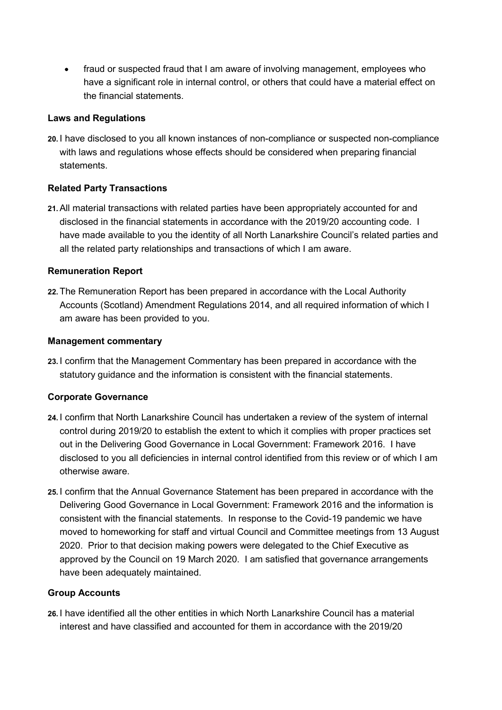fraud or suspected fraud that I am aware of involving management, employees who have a significant role in internal control, or others that could have a material effect on the financial statements.

## Laws and Regulations

20. I have disclosed to you all known instances of non-compliance or suspected non-compliance with laws and regulations whose effects should be considered when preparing financial statements.

# Related Party Transactions

21. All material transactions with related parties have been appropriately accounted for and disclosed in the financial statements in accordance with the 2019/20 accounting code. I have made available to you the identity of all North Lanarkshire Council's related parties and all the related party relationships and transactions of which I am aware.

# Remuneration Report

22. The Remuneration Report has been prepared in accordance with the Local Authority Accounts (Scotland) Amendment Regulations 2014, and all required information of which I am aware has been provided to you.

# Management commentary

23. I confirm that the Management Commentary has been prepared in accordance with the statutory guidance and the information is consistent with the financial statements.

# Corporate Governance

- 24. I confirm that North Lanarkshire Council has undertaken a review of the system of internal control during 2019/20 to establish the extent to which it complies with proper practices set out in the Delivering Good Governance in Local Government: Framework 2016. I have disclosed to you all deficiencies in internal control identified from this review or of which I am otherwise aware.
- 25. I confirm that the Annual Governance Statement has been prepared in accordance with the Delivering Good Governance in Local Government: Framework 2016 and the information is consistent with the financial statements. In response to the Covid-19 pandemic we have moved to homeworking for staff and virtual Council and Committee meetings from 13 August 2020. Prior to that decision making powers were delegated to the Chief Executive as approved by the Council on 19 March 2020. I am satisfied that governance arrangements have been adequately maintained.

# Group Accounts

26. I have identified all the other entities in which North Lanarkshire Council has a material interest and have classified and accounted for them in accordance with the 2019/20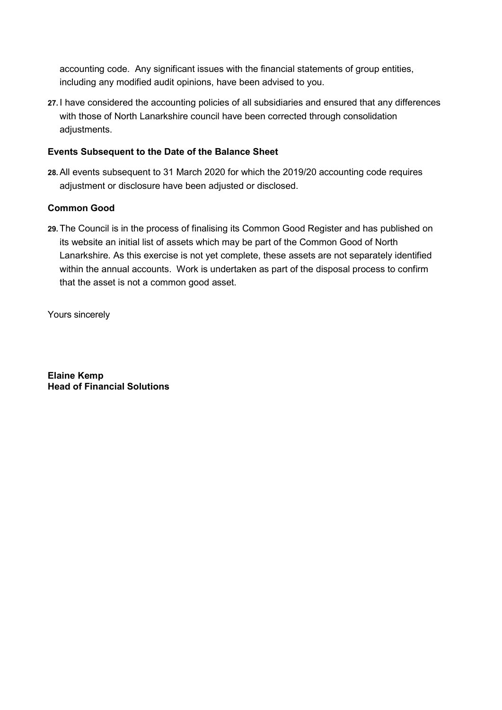accounting code. Any significant issues with the financial statements of group entities, including any modified audit opinions, have been advised to you.

27. I have considered the accounting policies of all subsidiaries and ensured that any differences with those of North Lanarkshire council have been corrected through consolidation adjustments.

# Events Subsequent to the Date of the Balance Sheet

28.All events subsequent to 31 March 2020 for which the 2019/20 accounting code requires adjustment or disclosure have been adjusted or disclosed.

# Common Good

29. The Council is in the process of finalising its Common Good Register and has published on its website an initial list of assets which may be part of the Common Good of North Lanarkshire. As this exercise is not yet complete, these assets are not separately identified within the annual accounts. Work is undertaken as part of the disposal process to confirm that the asset is not a common good asset.

Yours sincerely

Elaine Kemp Head of Financial Solutions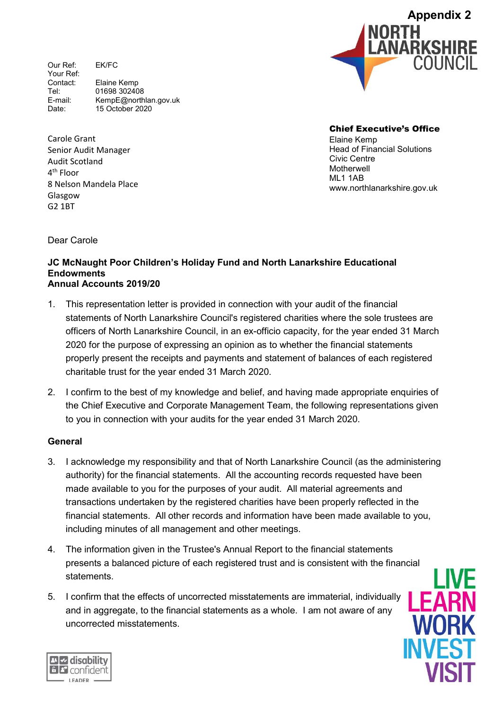Our Ref: EK/FC Your Ref: Contact: Elaine Kemp Tel: 01698 302408<br>
F-mail: KempF@north KempE@northlan.gov.uk Date: 15 October 2020

Carole Grant Senior Audit Manager Audit Scotland 4 th Floor 8 Nelson Mandela Place Glasgow G2 1BT



Chief Executive's Office Elaine Kemp Head of Financial Solutions Civic Centre **Motherwell** ML1 1AB www.northlanarkshire.gov.uk

Dear Carole

#### JC McNaught Poor Children's Holiday Fund and North Lanarkshire Educational **Endowments** Annual Accounts 2019/20

- 1. This representation letter is provided in connection with your audit of the financial statements of North Lanarkshire Council's registered charities where the sole trustees are officers of North Lanarkshire Council, in an ex-officio capacity, for the year ended 31 March 2020 for the purpose of expressing an opinion as to whether the financial statements properly present the receipts and payments and statement of balances of each registered charitable trust for the year ended 31 March 2020.
- 2. I confirm to the best of my knowledge and belief, and having made appropriate enquiries of the Chief Executive and Corporate Management Team, the following representations given to you in connection with your audits for the year ended 31 March 2020.

# General

- 3. I acknowledge my responsibility and that of North Lanarkshire Council (as the administering authority) for the financial statements. All the accounting records requested have been made available to you for the purposes of your audit. All material agreements and transactions undertaken by the registered charities have been properly reflected in the financial statements. All other records and information have been made available to you, including minutes of all management and other meetings.
- 4. The information given in the Trustee's Annual Report to the financial statements presents a balanced picture of each registered trust and is consistent with the financial statements.
- 5. I confirm that the effects of uncorrected misstatements are immaterial, individually and in aggregate, to the financial statements as a whole. I am not aware of any uncorrected misstatements.